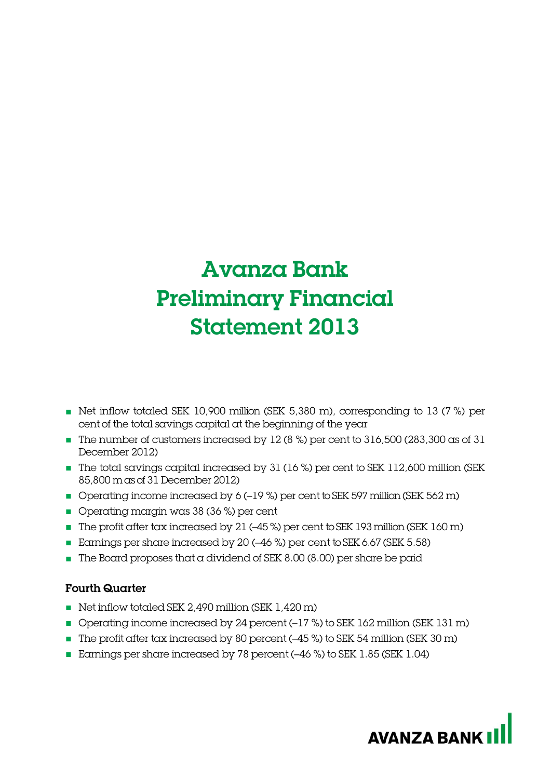# Avanza Bank Preliminary Financial Statement 2013

- Net inflow totaled SEK 10,900 million (SEK 5,380 m), corresponding to 13 (7 %) per cent of the total savings capital at the beginning of the year
- The number of customers increased by 12 (8 %) per cent to 316,500 (283,300 as of 31 December 2012)
- The total savings capital increased by 31 (16 %) per cent to SEK 112,600 million (SEK 85,800 m as of 31 December 2012)
- Operating income increased by 6 (-19 %) per cent to SEK 597 million (SEK 562 m)
- Operating margin was 38 (36 %) per cent
- The profit after tax increased by 21 (-45%) per cent to SEK 193 million (SEK 160 m)
- Earnings per share increased by 20 (-46 %) per cent to SEK 6.67 (SEK 5.58)
- $\blacksquare$  The Board proposes that a dividend of SEK 8.00 (8.00) per share be paid

# Fourth Quarter

- Net inflow totaled SEK 2,490 million (SEK 1,420 m)
- Operating income increased by 24 percent (-17 %) to SEK 162 million (SEK 131 m)
- The profit after tax increased by 80 percent (-45 %) to SEK 54 million (SEK 30 m)
- Earnings per share increased by 78 percent (-46 %) to SEK 1.85 (SEK 1.04)

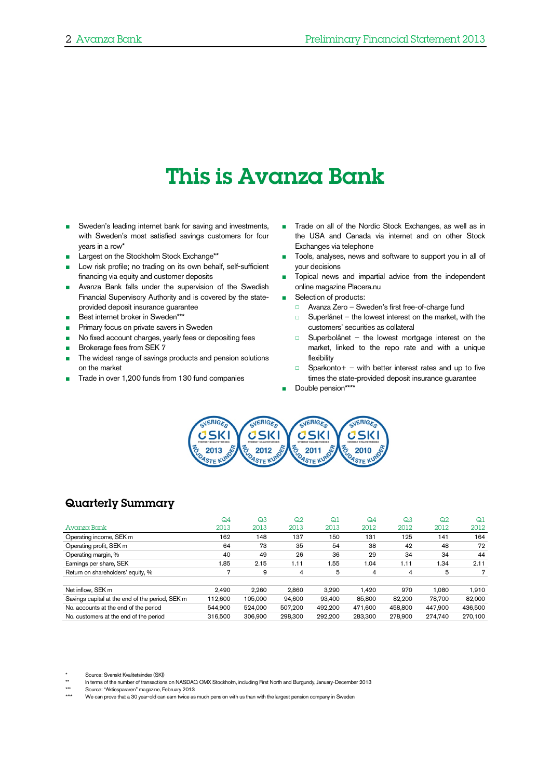# This is Avanza Bank

- Sweden's leading internet bank for saving and investments, with Sweden's most satisfied savings customers for four years in a row\*
- Largest on the Stockholm Stock Exchange\*\*
- Low risk profile; no trading on its own behalf, self-sufficient financing via equity and customer deposits
- Avanza Bank falls under the supervision of the Swedish Financial Supervisory Authority and is covered by the stateprovided deposit insurance guarantee
- Best internet broker in Sweden\*\*\*
- Primary focus on private savers in Sweden
- No fixed account charges, yearly fees or depositing fees
- Brokerage fees from SEK 7
- The widest range of savings products and pension solutions on the market
- Trade in over 1,200 funds from 130 fund companies
- Trade on all of the Nordic Stock Exchanges, as well as in the USA and Canada via internet and on other Stock Exchanges via telephone
- Tools, analyses, news and software to support you in all of your decisions
- Topical news and impartial advice from the independent online magazine Placera.nu
- Selection of products:
	- □ Avanza Zero Sweden's first free-of-charge fund
	- □ Superlånet the lowest interest on the market, with the customers' securities as collateral
	- □ Superbolånet the lowest mortgage interest on the market, linked to the repo rate and with a unique flexibility
	- $\Box$  Sparkonto + with better interest rates and up to five times the state-provided deposit insurance guarantee
- Double pension\*\*\*\*



## Quarterly Summary

|                                                 | $Q_4$   | Q3      | Q <sub>2</sub> | Q1      | $Q_4$   | Q <sub>3</sub> | Q <sub>2</sub> | Q <sub>1</sub> |
|-------------------------------------------------|---------|---------|----------------|---------|---------|----------------|----------------|----------------|
| Avanza Bank                                     | 2013    | 2013    | 2013           | 2013    | 2012    | 2012           | 2012           | 2012           |
| Operating income, SEK m                         | 162     | 148     | 137            | 150     | 131     | 125            | 141            | 164            |
| Operating profit, SEK m                         | 64      | 73      | 35             | 54      | 38      | 42             | 48             | 72             |
| Operating margin, %                             | 40      | 49      | 26             | 36      | 29      | 34             | 34             | 44             |
| Earnings per share, SEK                         | 1.85    | 2.15    | 1.11           | 1.55    | 1.04    | 1.11           | 1.34           | 2.11           |
| Return on shareholders' equity, %               | 7       | 9       | 4              | 5       | 4       | 4              | 5              | 7              |
|                                                 |         |         |                |         |         |                |                |                |
| Net inflow, SEK m                               | 2.490   | 2.260   | 2.860          | 3.290   | 1.420   | 970            | 1.080          | 1,910          |
| Savings capital at the end of the period, SEK m | 112.600 | 105.000 | 94.600         | 93.400  | 85,800  | 82.200         | 78.700         | 82.000         |
| No. accounts at the end of the period           | 544.900 | 524.000 | 507,200        | 492.200 | 471.600 | 458,800        | 447,900        | 436,500        |
| No. customers at the end of the period          | 316,500 | 306,900 | 298,300        | 292.200 | 283.300 | 278,900        | 274.740        | 270.100        |

Source: Svenskt Kvalitetsindex (SKI)

\*\*\* Source: "Aktiespararen" magazine, February 2013

We can prove that a 30 year-old can earn twice as much pension with us than with the largest pension company in Sweden

In terms of the number of transactions on NASDAQ OMX Stockholm, including First North and Burgundy, January-December 2013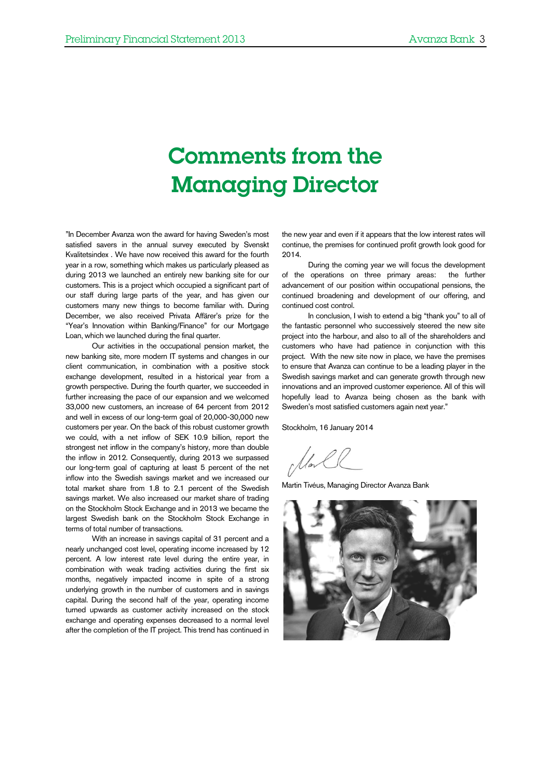# Comments from the Managing Director

"In December Avanza won the award for having Sweden's most satisfied savers in the annual survey executed by Svenskt Kvalitetsindex . We have now received this award for the fourth year in a row, something which makes us particularly pleased as during 2013 we launched an entirely new banking site for our customers. This is a project which occupied a significant part of our staff during large parts of the year, and has given our customers many new things to become familiar with. During December, we also received Privata Affärer's prize for the "Year's Innovation within Banking/Finance" for our Mortgage Loan, which we launched during the final quarter.

Our activities in the occupational pension market, the new banking site, more modern IT systems and changes in our client communication, in combination with a positive stock exchange development, resulted in a historical year from a growth perspective. During the fourth quarter, we succeeded in further increasing the pace of our expansion and we welcomed 33,000 new customers, an increase of 64 percent from 2012 and well in excess of our long-term goal of 20,000-30,000 new customers per year. On the back of this robust customer growth we could, with a net inflow of SEK 10.9 billion, report the strongest net inflow in the company's history, more than double the inflow in 2012. Consequently, during 2013 we surpassed our long-term goal of capturing at least 5 percent of the net inflow into the Swedish savings market and we increased our total market share from 1.8 to 2.1 percent of the Swedish savings market. We also increased our market share of trading on the Stockholm Stock Exchange and in 2013 we became the largest Swedish bank on the Stockholm Stock Exchange in terms of total number of transactions.

With an increase in savings capital of 31 percent and a nearly unchanged cost level, operating income increased by 12 percent. A low interest rate level during the entire year, in combination with weak trading activities during the first six months, negatively impacted income in spite of a strong underlying growth in the number of customers and in savings capital. During the second half of the year, operating income turned upwards as customer activity increased on the stock exchange and operating expenses decreased to a normal level after the completion of the IT project. This trend has continued in

the new year and even if it appears that the low interest rates will continue, the premises for continued profit growth look good for 2014.

During the coming year we will focus the development of the operations on three primary areas: the further advancement of our position within occupational pensions, the continued broadening and development of our offering, and continued cost control.

In conclusion, I wish to extend a big "thank you" to all of the fantastic personnel who successively steered the new site project into the harbour, and also to all of the shareholders and customers who have had patience in conjunction with this project. With the new site now in place, we have the premises to ensure that Avanza can continue to be a leading player in the Swedish savings market and can generate growth through new innovations and an improved customer experience. All of this will hopefully lead to Avanza being chosen as the bank with Sweden's most satisfied customers again next year."

Stockholm, 16 January 2014

Martin Tivéus, Managing Director Avanza Bank

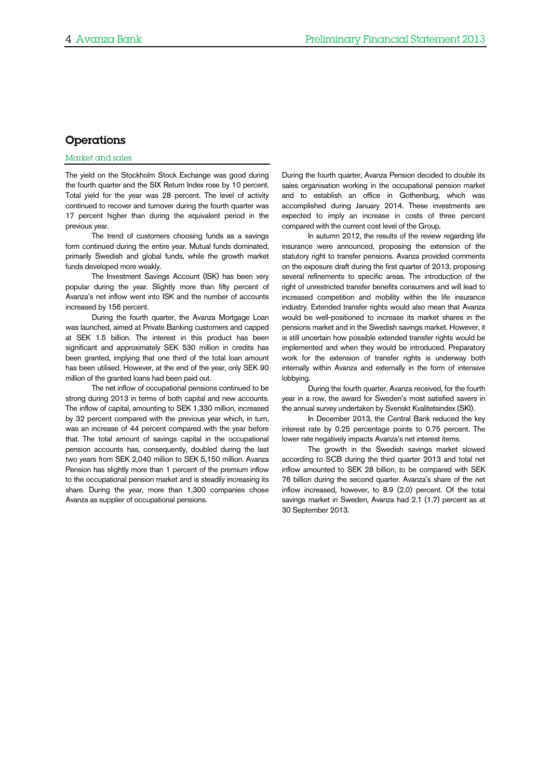## Operations

#### Market and sales

The yield on the Stockholm Stock Exchange was good during the fourth quarter and the SIX Return Index rose by 10 percent. Total yield for the year was 28 percent. The level of activity continued to recover and turnover during the fourth quarter was 17 percent higher than during the equivalent period in the previous year.

The trend of customers choosing funds as a savings form continued during the entire year. Mutual funds dominated, primarily Swedish and global funds, while the growth market funds developed more weakly.

The Investment Savings Account (ISK) has been very popular during the year. Slightly more than fifty percent of Avanza's net inflow went into ISK and the number of accounts increased by 156 percent.

During the fourth quarter, the Avanza Mortgage Loan was launched, aimed at Private Banking customers and capped at SEK 1.5 billion. The interest in this product has been significant and approximately SEK 530 million in credits has been granted, implying that one third of the total loan amount has been utilised. However, at the end of the year, only SEK 90 million of the granted loans had been paid out.

The net inflow of occupational pensions continued to be strong during 2013 in terms of both capital and new accounts. The inflow of capital, amounting to SEK 1,330 million, increased by 32 percent compared with the previous year which, in turn, was an increase of 44 percent compared with the year before that. The total amount of savings capital in the occupational pension accounts has, consequently, doubled during the last two years from SEK 2,040 million to SEK 5,150 million. Avanza Pension has slightly more than 1 percent of the premium inflow to the occupational pension market and is steadily increasing its share. During the year, more than 1,300 companies chose Avanza as supplier of occupational pensions.

During the fourth quarter, Avanza Pension decided to double its sales organisation working in the occupational pension market and to establish an office in Gothenburg, which was accomplished during January 2014. These investments are expected to imply an increase in costs of three percent compared with the current cost level of the Group.

In autumn 2012, the results of the review regarding life insurance were announced, proposing the extension of the statutory right to transfer pensions. Avanza provided comments on the exposure draft during the first quarter of 2013, proposing several refinements to specific areas. The introduction of the right of unrestricted transfer benefits consumers and will lead to increased competition and mobility within the life insurance industry. Extended transfer rights would also mean that Avanza would be well-positioned to increase its market shares in the pensions market and in the Swedish savings market. However, it is still uncertain how possible extended transfer rights would be implemented and when they would be introduced. Preparatory work for the extension of transfer rights is underway both internally within Avanza and externally in the form of intensive lobbying.

During the fourth quarter, Avanza received, for the fourth year in a row, the award for Sweden's most satisfied savers in the annual survey undertaken by Svenskt Kvalitetsindex (SKI).

In December 2013, the Central Bank reduced the key interest rate by 0.25 percentage points to 0.75 percent. The lower rate negatively impacts Avanza's net interest items.

The growth in the Swedish savings market slowed according to SCB during the third quarter 2013 and total net inflow amounted to SEK 28 billion, to be compared with SEK 76 billion during the second quarter. Avanza's share of the net inflow increased, however, to 8.9 (2.0) percent. Of the total savings market in Sweden, Avanza had 2.1 (1.7) percent as at 30 September 2013.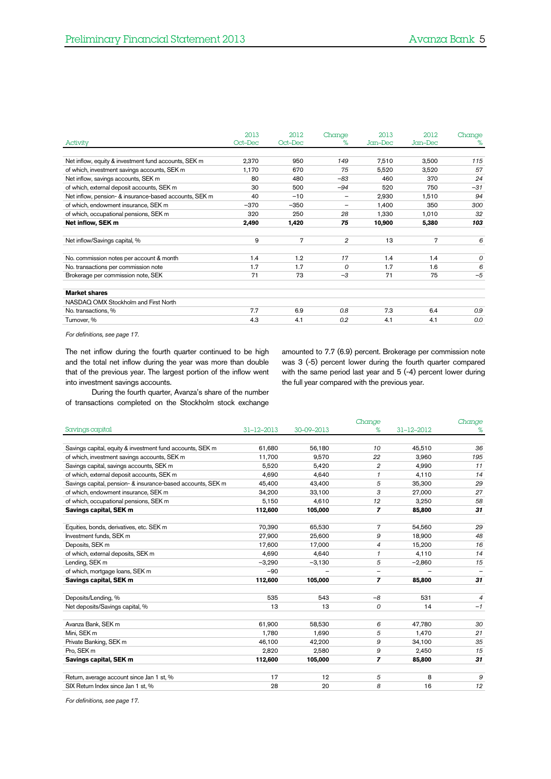|                                                        | 2013    | 2012    | Change                   | 2013    | 2012    | Change |
|--------------------------------------------------------|---------|---------|--------------------------|---------|---------|--------|
| Activity                                               | Oct-Dec | Oct-Dec | ℅                        | Jan-Dec | Jan-Dec | %      |
|                                                        |         |         |                          |         |         |        |
| Net inflow, equity & investment fund accounts, SEK m   | 2,370   | 950     | 149                      | 7,510   | 3,500   | 115    |
| of which, investment savings accounts, SEK m           | 1,170   | 670     | 75                       | 5,520   | 3,520   | 57     |
| Net inflow, savings accounts, SEK m                    | 80      | 480     | $-83$                    | 460     | 370     | 24     |
| of which, external deposit accounts, SEK m             | 30      | 500     | $-94$                    | 520     | 750     | $-31$  |
| Net inflow, pension- & insurance-based accounts, SEK m | 40      | $-10$   | -                        | 2,930   | 1,510   | 94     |
| of which, endowment insurance, SEK m                   | $-370$  | $-350$  | $\overline{\phantom{0}}$ | 1,400   | 350     | 300    |
| of which, occupational pensions, SEK m                 | 320     | 250     | 28                       | 1,330   | 1,010   | 32     |
| Net inflow, SEK m                                      | 2,490   | 1,420   | 75                       | 10,900  | 5,380   | 103    |
|                                                        |         |         |                          |         |         |        |
| Net inflow/Savings capital, %                          | 9       | 7       | $\overline{2}$           | 13      | 7       | 6      |
|                                                        |         |         |                          |         |         |        |
| No. commission notes per account & month               | 1.4     | 1.2     | 17                       | 1.4     | 1.4     | 0      |
| No. transactions per commission note                   | 1.7     | 1.7     | $\Omega$                 | 1.7     | 1.6     | 6      |
| Brokerage per commission note, SEK                     | 71      | 73      | $-3$                     | 71      | 75      | $-5$   |
|                                                        |         |         |                          |         |         |        |
| <b>Market shares</b>                                   |         |         |                          |         |         |        |
| NASDAQ OMX Stockholm and First North                   |         |         |                          |         |         |        |
| No. transactions, %                                    | 7.7     | 6.9     | 0.8                      | 7.3     | 6.4     | 0.9    |
| Turnover, %                                            | 4.3     | 4.1     | 0.2                      | 4.1     | 4.1     | 0.0    |
|                                                        |         |         |                          |         |         |        |

*For definitions, see page [17.](#page-16-0)*

The net inflow during the fourth quarter continued to be high and the total net inflow during the year was more than double that of the previous year. The largest portion of the inflow went into investment savings accounts.

amounted to 7.7 (6.9) percent. Brokerage per commission note was 3 (-5) percent lower during the fourth quarter compared with the same period last year and 5 (-4) percent lower during the full year compared with the previous year.

During the fourth quarter, Avanza's share of the number of transactions completed on the Stockholm stock exchange

|                                                             |                  |            | Change         |            | Change |
|-------------------------------------------------------------|------------------|------------|----------------|------------|--------|
| Savings capital                                             | $31 - 12 - 2013$ | 30-09-2013 | %              | 31-12-2012 | %      |
|                                                             |                  |            |                |            |        |
| Savings capital, equity & investment fund accounts, SEK m   | 61.680           | 56,180     | 10             | 45,510     | 36     |
| of which, investment savings accounts, SEK m                | 11.700           | 9,570      | 22             | 3,960      | 195    |
| Savings capital, savings accounts, SEK m                    | 5,520            | 5,420      | 2              | 4,990      | 11     |
| of which, external deposit accounts, SEK m                  | 4.690            | 4,640      | 1              | 4,110      | 14     |
| Savings capital, pension- & insurance-based accounts, SEK m | 45,400           | 43,400     | 5              | 35,300     | 29     |
| of which, endowment insurance, SEK m                        | 34,200           | 33,100     | 3              | 27,000     | 27     |
| of which, occupational pensions, SEK m                      | 5,150            | 4,610      | 12             | 3,250      | 58     |
| Savings capital, SEK m                                      | 112,600          | 105,000    | $\overline{z}$ | 85,800     | 31     |
|                                                             |                  |            |                |            |        |
| Equities, bonds, derivatives, etc. SEK m                    | 70,390           | 65,530     | $\overline{7}$ | 54,560     | 29     |
| Investment funds, SEK m                                     | 27,900           | 25,600     | 9              | 18,900     | 48     |
| Deposits, SEK m                                             | 17,600           | 17,000     | 4              | 15,200     | 16     |
| of which, external deposits, SEK m                          | 4,690            | 4,640      | 1              | 4,110      | 14     |
| Lending, SEK m                                              | $-3.290$         | $-3,130$   | 5              | $-2,860$   | 15     |
| of which, mortgage loans, SEK m                             | $-90$            |            |                |            |        |
| Savings capital, SEK m                                      | 112,600          | 105,000    | $\overline{z}$ | 85,800     | 31     |
|                                                             |                  |            |                |            |        |
| Deposits/Lending, %                                         | 535              | 543        | $-8$           | 531        | 4      |
| Net deposits/Savings capital, %                             | 13               | 13         | $\mathcal{O}$  | 14         | $-1$   |
|                                                             |                  |            |                |            |        |
| Avanza Bank, SEK m                                          | 61.900           | 58,530     | 6              | 47.780     | 30     |
| Mini, SEK m                                                 | 1,780            | 1,690      | 5              | 1,470      | 21     |
| Private Banking, SEK m                                      | 46,100           | 42,200     | 9              | 34,100     | 35     |
| Pro, SEK m                                                  | 2,820            | 2,580      | 9              | 2,450      | 15     |
| Savings capital, SEK m                                      | 112,600          | 105,000    | $\overline{ }$ | 85,800     | 31     |
|                                                             |                  |            |                |            |        |
| Return, average account since Jan 1 st, %                   | 17               | 12         | 5              | 8          | 9      |
| SIX Return Index since Jan 1 st, %                          | 28               | 20         | 8              | 16         | 12     |

*For definitions, see pag[e 17.](#page-16-0)*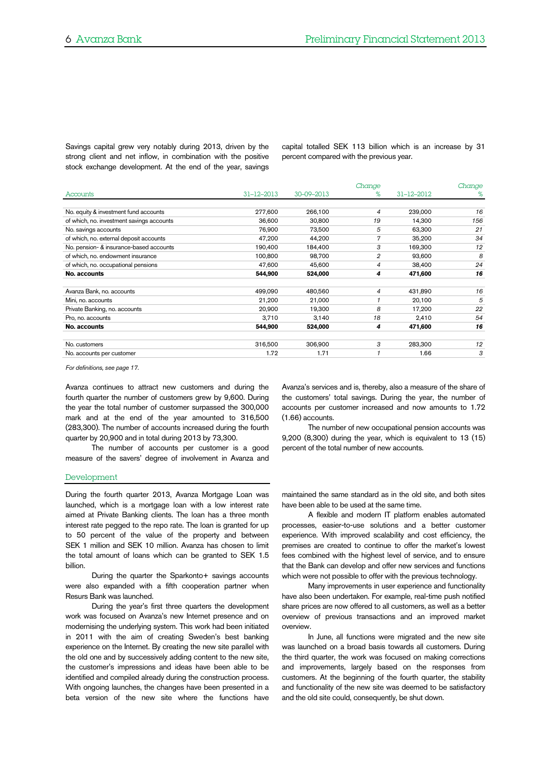Savings capital grew very notably during 2013, driven by the strong client and net inflow, in combination with the positive stock exchange development. At the end of the year, savings capital totalled SEK 113 billion which is an increase by 31 percent compared with the previous year.

|                                           |                  |            | Change |            | Change |
|-------------------------------------------|------------------|------------|--------|------------|--------|
| Accounts                                  | $31 - 12 - 2013$ | 30-09-2013 | ℅      | 31-12-2012 | %      |
|                                           |                  |            |        |            |        |
| No. equity & investment fund accounts     | 277,600          | 266,100    | 4      | 239,000    | 16     |
| of which, no. investment savings accounts | 36,600           | 30,800     | 19     | 14,300     | 156    |
| No. savings accounts                      | 76,900           | 73,500     | 5      | 63,300     | 21     |
| of which, no. external deposit accounts   | 47,200           | 44.200     | 7      | 35,200     | 34     |
| No. pension- & insurance-based accounts   | 190,400          | 184,400    | 3      | 169,300    | 12     |
| of which, no. endowment insurance         | 100,800          | 98,700     | 2      | 93,600     | 8      |
| of which, no. occupational pensions       | 47,600           | 45.600     | 4      | 38,400     | 24     |
| No. accounts                              | 544,900          | 524,000    | 4      | 471,600    | 16     |
|                                           |                  |            |        |            |        |
| Avanza Bank, no. accounts                 | 499,090          | 480,560    | 4      | 431,890    | 16     |
| Mini, no. accounts                        | 21,200           | 21,000     |        | 20,100     | 5      |
| Private Banking, no. accounts             | 20,900           | 19.300     | 8      | 17,200     | 22     |
| Pro, no. accounts                         | 3,710            | 3,140      | 18     | 2,410      | 54     |
| No. accounts                              | 544,900          | 524,000    | 4      | 471,600    | 16     |
|                                           |                  |            |        |            |        |
| No. customers                             | 316,500          | 306,900    | 3      | 283,300    | 12     |
| No. accounts per customer                 | 1.72             | 1.71       |        | 1.66       | 3      |

(1.66) accounts.

*For definitions, see pag[e 17.](#page-16-0)*

Avanza continues to attract new customers and during the fourth quarter the number of customers grew by 9,600. During the year the total number of customer surpassed the 300,000 mark and at the end of the year amounted to 316,500 (283,300). The number of accounts increased during the fourth quarter by 20,900 and in total during 2013 by 73,300.

The number of accounts per customer is a good measure of the savers' degree of involvement in Avanza and percent of the total number of new accounts.

The number of new occupational pension accounts was 9,200 (8,300) during the year, which is equivalent to 13 (15)

Avanza's services and is, thereby, also a measure of the share of the customers' total savings. During the year, the number of accounts per customer increased and now amounts to 1.72

#### Development

During the fourth quarter 2013, Avanza Mortgage Loan was launched, which is a mortgage loan with a low interest rate aimed at Private Banking clients. The loan has a three month interest rate pegged to the repo rate. The loan is granted for up to 50 percent of the value of the property and between SEK 1 million and SEK 10 million. Avanza has chosen to limit the total amount of loans which can be granted to SEK 1.5 billion.

During the quarter the Sparkonto+ savings accounts were also expanded with a fifth cooperation partner when Resurs Bank was launched.

During the year's first three quarters the development work was focused on Avanza's new Internet presence and on modernising the underlying system. This work had been initiated in 2011 with the aim of creating Sweden's best banking experience on the Internet. By creating the new site parallel with the old one and by successively adding content to the new site, the customer's impressions and ideas have been able to be identified and compiled already during the construction process. With ongoing launches, the changes have been presented in a beta version of the new site where the functions have

maintained the same standard as in the old site, and both sites have been able to be used at the same time.

A flexible and modern IT platform enables automated processes, easier-to-use solutions and a better customer experience. With improved scalability and cost efficiency, the premises are created to continue to offer the market's lowest fees combined with the highest level of service, and to ensure that the Bank can develop and offer new services and functions which were not possible to offer with the previous technology.

Many improvements in user experience and functionality have also been undertaken. For example, real-time push notified share prices are now offered to all customers, as well as a better overview of previous transactions and an improved market overview.

In June, all functions were migrated and the new site was launched on a broad basis towards all customers. During the third quarter, the work was focused on making corrections and improvements, largely based on the responses from customers. At the beginning of the fourth quarter, the stability and functionality of the new site was deemed to be satisfactory and the old site could, consequently, be shut down.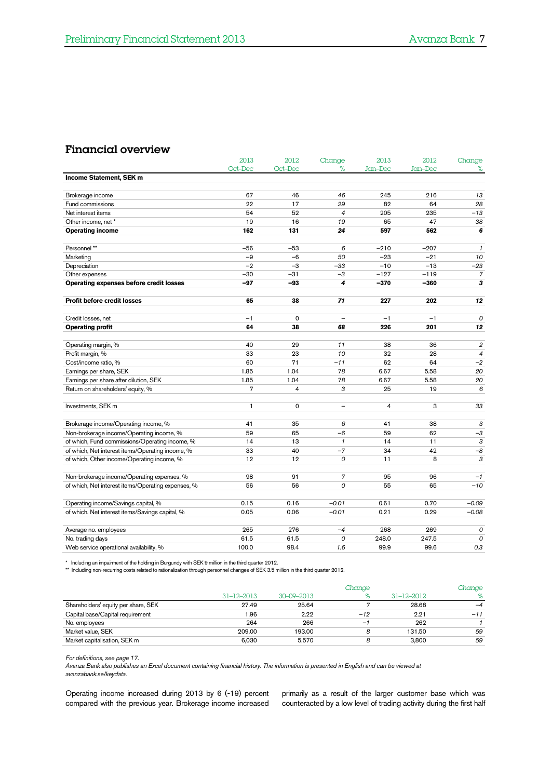## Financial overview

|                                                    | 2013           | 2012           | Change                   | 2013             | 2012             | Change              |
|----------------------------------------------------|----------------|----------------|--------------------------|------------------|------------------|---------------------|
|                                                    | Oct-Dec        | Oct-Dec        | %                        | Jan-Dec          | Jan-Dec          | %                   |
| Income Statement, SEK m                            |                |                |                          |                  |                  |                     |
|                                                    |                |                |                          |                  |                  |                     |
| Brokerage income                                   | 67             | 46             | 46                       | 245              | 216              | 13                  |
| Fund commissions                                   | 22             | 17             | 29                       | 82               | 64               | 28                  |
| Net interest items                                 | 54             | 52             | $\overline{4}$           | 205              | 235              | $-13$               |
| Other income, net *                                | 19             | 16             | 19                       | 65               | 47               | 38                  |
| <b>Operating income</b>                            | 162            | 131            | 24                       | 597              | 562              | 6                   |
| Personnel**                                        | $-56$          | $-53$          | 6                        | $-210$           | $-207$           | $\mathcal{I}$       |
| Marketing                                          | $-9$           | $-6$           | 50                       | $-23$            | $-21$            | 10                  |
|                                                    | $-2$           | $-3$           | $-33$                    | $-10$            | $-13$            |                     |
| Depreciation                                       |                |                |                          |                  |                  | $-23$               |
| Other expenses                                     | $-30$<br>$-97$ | $-31$<br>$-93$ | $-3$<br>4                | $-127$<br>$-370$ | $-119$<br>$-360$ | $\overline{7}$<br>3 |
| Operating expenses before credit losses            |                |                |                          |                  |                  |                     |
| <b>Profit before credit losses</b>                 | 65             | 38             | 71                       | 227              | 202              | 12                  |
| Credit losses, net                                 | $-1$           | $\circ$        | $\overline{\phantom{a}}$ | $-1$             | $-1$             | $\mathcal{O}$       |
| <b>Operating profit</b>                            | 64             | 38             | 68                       | 226              | 201              | 12                  |
|                                                    |                |                |                          |                  |                  |                     |
| Operating margin, %                                | 40             | 29             | 11                       | 38               | 36               | $\overline{2}$      |
| Profit margin, %                                   | 33             | 23             | 10                       | 32               | 28               | $\overline{4}$      |
| Cost/income ratio, %                               | 60             | 71             | $-11$                    | 62               | 64               | $-2$                |
| Earnings per share, SEK                            | 1.85           | 1.04           | 78                       | 6.67             | 5.58             | 20                  |
| Earnings per share after dilution, SEK             | 1.85           | 1.04           | 78                       | 6.67             | 5.58             | 20                  |
| Return on shareholders' equity, %                  | $\overline{7}$ | $\overline{4}$ | 3                        | 25               | 19               | 6                   |
|                                                    |                |                |                          |                  |                  |                     |
| Investments, SEK m                                 | $\mathbf{1}$   | $\mathbf 0$    | $\overline{\phantom{0}}$ | $\overline{4}$   | 3                | 33                  |
| Brokerage income/Operating income, %               | 41             | 35             | 6                        | 41               | 38               | 3                   |
| Non-brokerage income/Operating income, %           | 59             | 65             | $-6$                     | 59               | 62               | $-3$                |
| of which, Fund commissions/Operating income, %     | 14             | 13             | $\mathbf{1}$             | 14               | 11               | $\sqrt{3}$          |
| of which, Net interest items/Operating income, %   | 33             | 40             | $-7$                     | 34               | 42               | $-8$                |
| of which, Other income/Operating income, %         | 12             | 12             | 0                        | 11               | 8                | 3                   |
|                                                    |                |                |                          |                  |                  |                     |
| Non-brokerage income/Operating expenses, %         | 98             | 91             | $\overline{7}$           | 95               | 96               | $-1$                |
| of which, Net interest items/Operating expenses, % | 56             | 56             | 0                        | 55               | 65               | $-10$               |
|                                                    |                |                |                          |                  |                  |                     |
| Operating income/Savings capital, %                | 0.15           | 0.16           | $-0.01$                  | 0.61             | 0.70             | $-0.09$             |
| of which. Net interest items/Savings capital, %    | 0.05           | 0.06           | $-0.01$                  | 0.21             | 0.29             | $-0.08$             |
|                                                    |                |                |                          |                  |                  |                     |
| Average no. employees                              | 265            | 276            | $-4$                     | 268              | 269              | 0                   |
| No. trading days                                   | 61.5           | 61.5           | 0                        | 248.0            | 247.5            | 0                   |
| Web service operational availability, %            | 100.0          | 98.4           | 1.6                      | 99.9             | 99.6             | 0.3                 |

\* Including an impairment of the holding in Burgundy with SEK 9 million in the third quarter 2012.

\*\* Including non-recurring costs related to rationalization through personnel changes of SEK 3.5 million in the third quarter 2012.

|                                     |                  |            | Change                   |            | Change |
|-------------------------------------|------------------|------------|--------------------------|------------|--------|
|                                     | $31 - 12 - 2013$ | 30-09-2013 |                          | 31-12-2012 | %      |
| Shareholders' equity per share, SEK | 27.49            | 25.64      |                          | 28.68      | $-4$   |
| Capital base/Capital requirement    | 1.96             | 2.22       | $-12$                    | 2.21       | $-11$  |
| No. employees                       | 264              | 266        | $\overline{\phantom{0}}$ | 262        |        |
| Market value, SEK                   | 209.00           | 193.00     | 8                        | 131.50     | 59     |
| Market capitalisation, SEK m        | 6.030            | 5.570      |                          | 3.800      | 59     |

*For definitions, see pag[e 17.](#page-16-0)*

*Avanza Bank also publishes an Excel document containing financial history. The information is presented in English and can be viewed at avanzabank.se/keydata.*

Operating income increased during 2013 by 6 (-19) percent compared with the previous year. Brokerage income increased

primarily as a result of the larger customer base which was counteracted by a low level of trading activity during the first half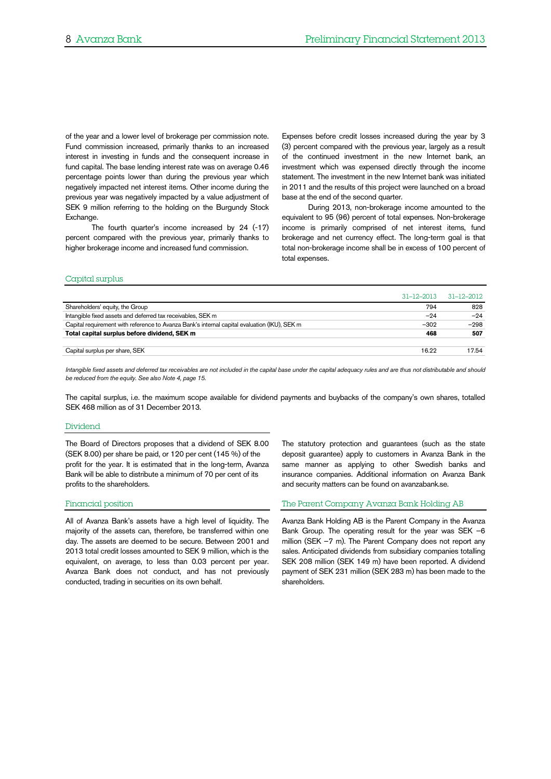of the year and a lower level of brokerage per commission note. Fund commission increased, primarily thanks to an increased interest in investing in funds and the consequent increase in fund capital. The base lending interest rate was on average 0.46 percentage points lower than during the previous year which negatively impacted net interest items. Other income during the previous year was negatively impacted by a value adjustment of SEK 9 million referring to the holding on the Burgundy Stock Exchange.

The fourth quarter's income increased by 24 (-17) percent compared with the previous year, primarily thanks to higher brokerage income and increased fund commission.

Expenses before credit losses increased during the year by 3 (3) percent compared with the previous year, largely as a result of the continued investment in the new Internet bank, an investment which was expensed directly through the income statement. The investment in the new Internet bank was initiated in 2011 and the results of this project were launched on a broad base at the end of the second quarter.

During 2013, non-brokerage income amounted to the equivalent to 95 (96) percent of total expenses. Non-brokerage income is primarily comprised of net interest items, fund brokerage and net currency effect. The long-term goal is that total non-brokerage income shall be in excess of 100 percent of total expenses.

#### Capital surplus

|                                                                                              |        | $31-12-2013$ $31-12-2012$ |
|----------------------------------------------------------------------------------------------|--------|---------------------------|
| Shareholders' equity, the Group                                                              | 794    | 828                       |
| Intangible fixed assets and deferred tax receivables, SEK m                                  | $-24$  | $-24$                     |
| Capital requirement with reference to Avanza Bank's internal capital evaluation (IKU), SEK m | $-302$ | $-298$                    |
| Total capital surplus before dividend, SEK m                                                 | 468    | 507                       |
|                                                                                              |        |                           |
| Capital surplus per share, SEK                                                               | 16.22  | 17.54                     |
|                                                                                              |        |                           |

*Intangible fixed assets and deferred tax receivables are not included in the capital base under the capital adequacy rules and are thus not distributable and should be reduced from the equity. See also Note 4, page [15.](#page-14-0)*

The capital surplus, i.e. the maximum scope available for dividend payments and buybacks of the company's own shares, totalled SEK 468 million as of 31 December 2013.

#### **Dividend**

The Board of Directors proposes that a dividend of SEK 8.00 (SEK 8.00) per share be paid, or 120 per cent (145 %) of the profit for the year. It is estimated that in the long-term, Avanza Bank will be able to distribute a minimum of 70 per cent of its profits to the shareholders.

#### Financial position

All of Avanza Bank's assets have a high level of liquidity. The majority of the assets can, therefore, be transferred within one day. The assets are deemed to be secure. Between 2001 and 2013 total credit losses amounted to SEK 9 million, which is the equivalent, on average, to less than 0.03 percent per year. Avanza Bank does not conduct, and has not previously conducted, trading in securities on its own behalf.

The statutory protection and guarantees (such as the state deposit guarantee) apply to customers in Avanza Bank in the same manner as applying to other Swedish banks and insurance companies. Additional information on Avanza Bank and security matters can be found on avanzabank.se.

#### The Parent Company Avanza Bank Holding AB

Avanza Bank Holding AB is the Parent Company in the Avanza Bank Group. The operating result for the year was SEK –6 million (SEK –7 m). The Parent Company does not report any sales. Anticipated dividends from subsidiary companies totalling SEK 208 million (SEK 149 m) have been reported. A dividend payment of SEK 231 million (SEK 283 m) has been made to the shareholders.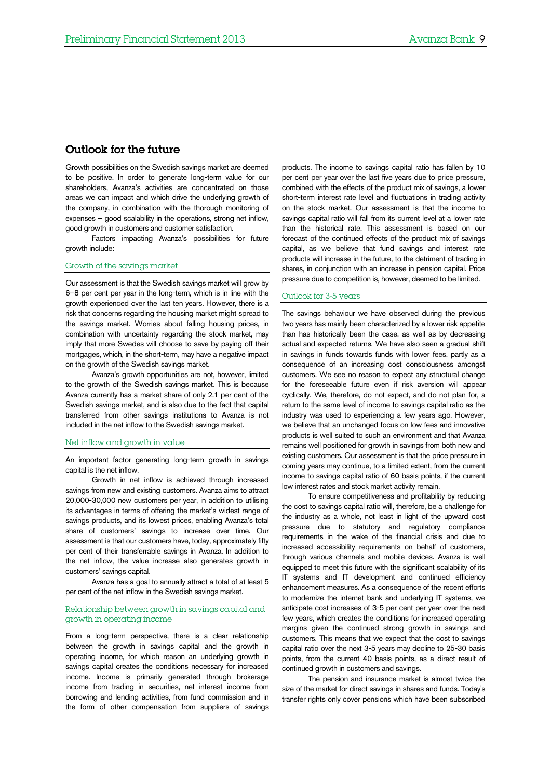### Outlook for the future

Growth possibilities on the Swedish savings market are deemed to be positive. In order to generate long-term value for our shareholders, Avanza's activities are concentrated on those areas we can impact and which drive the underlying growth of the company, in combination with the thorough monitoring of expenses – good scalability in the operations, strong net inflow, good growth in customers and customer satisfaction.

Factors impacting Avanza's possibilities for future growth include:

#### Growth of the savings market

Our assessment is that the Swedish savings market will grow by 6–8 per cent per year in the long-term, which is in line with the growth experienced over the last ten years. However, there is a risk that concerns regarding the housing market might spread to the savings market. Worries about falling housing prices, in combination with uncertainty regarding the stock market, may imply that more Swedes will choose to save by paying off their mortgages, which, in the short-term, may have a negative impact on the growth of the Swedish savings market.

Avanza's growth opportunities are not, however, limited to the growth of the Swedish savings market. This is because Avanza currently has a market share of only 2.1 per cent of the Swedish savings market, and is also due to the fact that capital transferred from other savings institutions to Avanza is not included in the net inflow to the Swedish savings market.

#### Net inflow and growth in value

An important factor generating long-term growth in savings capital is the net inflow.

Growth in net inflow is achieved through increased savings from new and existing customers. Avanza aims to attract 20,000-30,000 new customers per year, in addition to utilising its advantages in terms of offering the market's widest range of savings products, and its lowest prices, enabling Avanza's total share of customers' savings to increase over time. Our assessment is that our customers have, today, approximately fifty per cent of their transferrable savings in Avanza. In addition to the net inflow, the value increase also generates growth in customers' savings capital.

Avanza has a goal to annually attract a total of at least 5 per cent of the net inflow in the Swedish savings market.

#### Relationship between growth in savings capital and growth in operating income

From a long-term perspective, there is a clear relationship between the growth in savings capital and the growth in operating income, for which reason an underlying growth in savings capital creates the conditions necessary for increased income. Income is primarily generated through brokerage income from trading in securities, net interest income from borrowing and lending activities, from fund commission and in the form of other compensation from suppliers of savings products. The income to savings capital ratio has fallen by 10 per cent per year over the last five years due to price pressure, combined with the effects of the product mix of savings, a lower short-term interest rate level and fluctuations in trading activity on the stock market. Our assessment is that the income to savings capital ratio will fall from its current level at a lower rate than the historical rate. This assessment is based on our forecast of the continued effects of the product mix of savings capital, as we believe that fund savings and interest rate products will increase in the future, to the detriment of trading in shares, in conjunction with an increase in pension capital. Price pressure due to competition is, however, deemed to be limited.

#### Outlook for 3-5 years

The savings behaviour we have observed during the previous two years has mainly been characterized by a lower risk appetite than has historically been the case, as well as by decreasing actual and expected returns. We have also seen a gradual shift in savings in funds towards funds with lower fees, partly as a consequence of an increasing cost consciousness amongst customers. We see no reason to expect any structural change for the foreseeable future even if risk aversion will appear cyclically. We, therefore, do not expect, and do not plan for, a return to the same level of income to savings capital ratio as the industry was used to experiencing a few years ago. However, we believe that an unchanged focus on low fees and innovative products is well suited to such an environment and that Avanza remains well positioned for growth in savings from both new and existing customers. Our assessment is that the price pressure in coming years may continue, to a limited extent, from the current income to savings capital ratio of 60 basis points, if the current low interest rates and stock market activity remain.

To ensure competitiveness and profitability by reducing the cost to savings capital ratio will, therefore, be a challenge for the industry as a whole, not least in light of the upward cost pressure due to statutory and regulatory compliance requirements in the wake of the financial crisis and due to increased accessibility requirements on behalf of customers, through various channels and mobile devices. Avanza is well equipped to meet this future with the significant scalability of its IT systems and IT development and continued efficiency enhancement measures. As a consequence of the recent efforts to modernize the internet bank and underlying IT systems, we anticipate cost increases of 3-5 per cent per year over the next few years, which creates the conditions for increased operating margins given the continued strong growth in savings and customers. This means that we expect that the cost to savings capital ratio over the next 3-5 years may decline to 25-30 basis points, from the current 40 basis points, as a direct result of continued growth in customers and savings.

The pension and insurance market is almost twice the size of the market for direct savings in shares and funds. Today's transfer rights only cover pensions which have been subscribed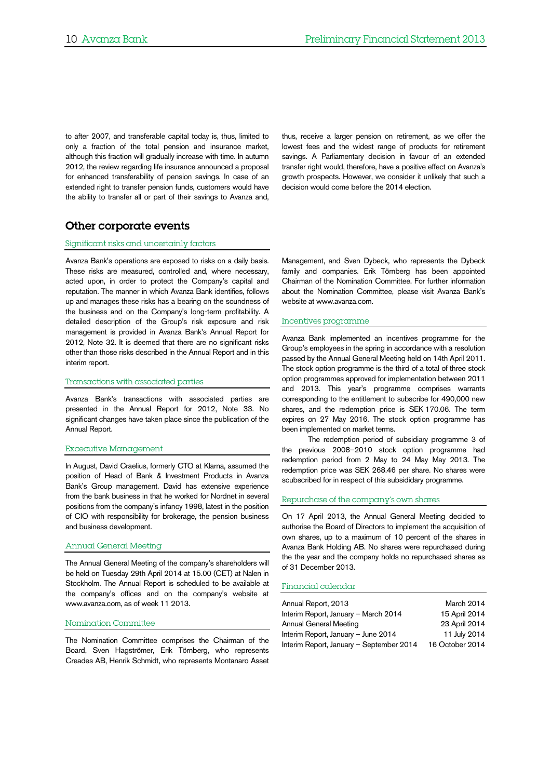to after 2007, and transferable capital today is, thus, limited to only a fraction of the total pension and insurance market, although this fraction will gradually increase with time. In autumn 2012, the review regarding life insurance announced a proposal for enhanced transferability of pension savings. In case of an extended right to transfer pension funds, customers would have the ability to transfer all or part of their savings to Avanza and,

thus, receive a larger pension on retirement, as we offer the lowest fees and the widest range of products for retirement savings. A Parliamentary decision in favour of an extended transfer right would, therefore, have a positive effect on Avanza's growth prospects. However, we consider it unlikely that such a decision would come before the 2014 election.

## Other corporate events

#### Significant risks and uncertainly factors

Avanza Bank's operations are exposed to risks on a daily basis. These risks are measured, controlled and, where necessary, acted upon, in order to protect the Company's capital and reputation. The manner in which Avanza Bank identifies, follows up and manages these risks has a bearing on the soundness of the business and on the Company's long-term profitability. A detailed description of the Group's risk exposure and risk management is provided in Avanza Bank's Annual Report for 2012, Note 32. It is deemed that there are no significant risks other than those risks described in the Annual Report and in this interim report.

#### Transactions with associated parties

Avanza Bank's transactions with associated parties are presented in the Annual Report for 2012, Note 33. No significant changes have taken place since the publication of the Annual Report.

#### Excecutive Management

In August, David Craelius, formerly CTO at Klarna, assumed the position of Head of Bank & Investment Products in Avanza Bank's Group management. David has extensive experience from the bank business in that he worked for Nordnet in several positions from the company's infancy 1998, latest in the position of CIO with responsibility for brokerage, the pension business and business development.

#### Annual General Meeting

The Annual General Meeting of the company's shareholders will be held on Tuesday 29th April 2014 at 15.00 (CET) at Nalen in Stockholm. The Annual Report is scheduled to be available at the company's offices and on the company's website at www.avanza.com, as of week 11 2013.

#### Nomination Committee

The Nomination Committee comprises the Chairman of the Board, Sven Hagströmer, Erik Törnberg, who represents Creades AB, Henrik Schmidt, who represents Montanaro Asset

Management, and Sven Dybeck, who represents the Dybeck family and companies. Erik Törnberg has been appointed Chairman of the Nomination Committee. For further information about the Nomination Committee, please visit Avanza Bank's website at www.avanza.com.

#### Incentives programme

Avanza Bank implemented an incentives programme for the Group's employees in the spring in accordance with a resolution passed by the Annual General Meeting held on 14th April 2011. The stock option programme is the third of a total of three stock option programmes approved for implementation between 2011 and 2013. This year's programme comprises warrants corresponding to the entitlement to subscribe for 490,000 new shares, and the redemption price is SEK 170.06. The term expires on 27 May 2016. The stock option programme has been implemented on market terms.

The redemption period of subsidiary programme 3 of the previous 2008–2010 stock option programme had redemption period from 2 May to 24 May May 2013. The redemption price was SEK 268.46 per share. No shares were scubscribed for in respect of this subsididary programme.

#### Repurchase of the company's own shares

On 17 April 2013, the Annual General Meeting decided to authorise the Board of Directors to implement the acquisition of own shares, up to a maximum of 10 percent of the shares in Avanza Bank Holding AB. No shares were repurchased during the the year and the company holds no repurchased shares as of 31 December 2013.

#### Financial calendar

| Annual Report, 2013                      | March 2014      |
|------------------------------------------|-----------------|
| Interim Report, January - March 2014     | 15 April 2014   |
| Annual General Meeting                   | 23 April 2014   |
| Interim Report, January - June 2014      | 11 July 2014    |
| Interim Report, January - September 2014 | 16 October 2014 |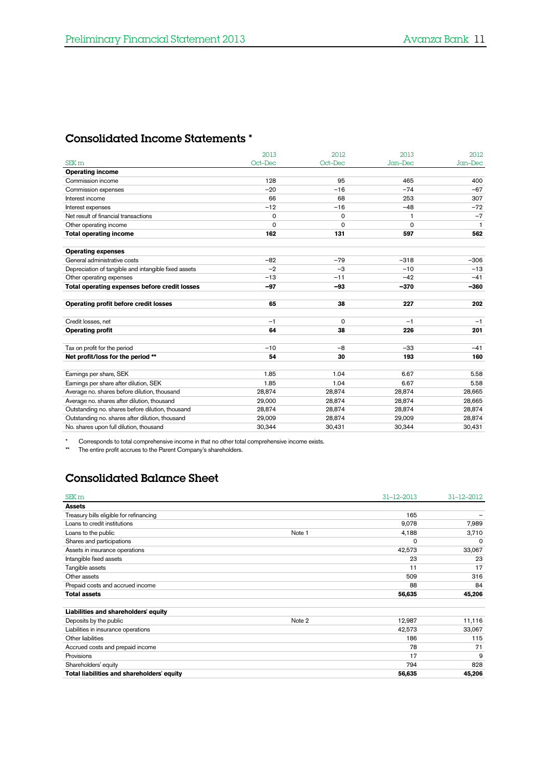## Consolidated Income Statements \*

|                                                      | 2013     | 2012     | 2013    | 2012         |
|------------------------------------------------------|----------|----------|---------|--------------|
| SEK <sub>m</sub>                                     | Oct-Dec  | Oct-Dec  | Jan-Dec | Jan-Dec      |
| <b>Operating income</b>                              |          |          |         |              |
| Commission income                                    | 128      | 95       | 465     | 400          |
| Commission expenses                                  | $-20$    | $-16$    | $-74$   | $-67$        |
| Interest income                                      | 66       | 68       | 253     | 307          |
| Interest expenses                                    | $-12$    | $-16$    | $-48$   | $-72$        |
| Net result of financial transactions                 | 0        | 0        | 1       | $-7$         |
| Other operating income                               | $\Omega$ | $\Omega$ | 0       | $\mathbf{1}$ |
| <b>Total operating income</b>                        | 162      | 131      | 597     | 562          |
|                                                      |          |          |         |              |
| <b>Operating expenses</b>                            |          |          |         |              |
| General administrative costs                         | $-82$    | $-79$    | $-318$  | $-306$       |
| Depreciation of tangible and intangible fixed assets | $-2$     | $-3$     | $-10$   | $-13$        |
| Other operating expenses                             | $-13$    | $-11$    | $-42$   | $-41$        |
| Total operating expenses before credit losses        | $-97$    | $-93$    | $-370$  | $-360$       |
| Operating profit before credit losses                | 65       | 38       | 227     | 202          |
|                                                      |          |          |         |              |
| Credit losses, net                                   | $-1$     | 0        | $-1$    | $-1$         |
| <b>Operating profit</b>                              | 64       | 38       | 226     | 201          |
|                                                      |          |          |         |              |
| Tax on profit for the period                         | $-10$    | $-8$     | $-33$   | $-41$        |
| Net profit/loss for the period **                    | 54       | 30       | 193     | 160          |
| Earnings per share, SEK                              | 1.85     | 1.04     | 6.67    | 5.58         |
| Earnings per share after dilution, SEK               | 1.85     | 1.04     | 6.67    | 5.58         |
| Average no. shares before dilution, thousand         | 28,874   | 28,874   | 28,874  | 28,665       |
| Average no. shares after dilution, thousand          | 29,000   | 28,874   | 28,874  | 28,665       |
| Outstanding no. shares before dilution, thousand     | 28,874   | 28,874   | 28,874  | 28,874       |
| Outstanding no. shares after dilution, thousand      | 29,009   | 28.874   | 29,009  | 28,874       |
| No. shares upon full dilution, thousand              | 30,344   | 30,431   | 30,344  | 30,431       |
|                                                      |          |          |         |              |

\* Corresponds to total comprehensive income in that no other total comprehensive income exists.

\*\* The entire profit accrues to the Parent Company's shareholders.

# Consolidated Balance Sheet

| SEK <sub>m</sub>                           |        | $31 - 12 - 2013$ | $31 - 12 - 2012$ |
|--------------------------------------------|--------|------------------|------------------|
| <b>Assets</b>                              |        |                  |                  |
| Treasury bills eligible for refinancing    |        | 165              |                  |
| Loans to credit institutions               |        | 9,078            | 7,989            |
| Loans to the public                        | Note 1 | 4,188            | 3,710            |
| Shares and participations                  |        | $\mathbf 0$      | $\Omega$         |
| Assets in insurance operations             |        | 42,573           | 33,067           |
| Intangible fixed assets                    |        | 23               | 23               |
| Tangible assets                            |        | 11               | 17               |
| Other assets                               |        | 509              | 316              |
| Prepaid costs and accrued income           |        | 88               | 84               |
| <b>Total assets</b>                        |        | 56,635           | 45,206           |
| Liabilities and shareholders' equity       |        |                  |                  |
| Deposits by the public                     | Note 2 | 12,987           | 11,116           |
| Liabilities in insurance operations        |        | 42,573           | 33,067           |
| Other liabilities                          |        | 186              | 115              |
| Accrued costs and prepaid income           |        | 78               | 71               |
| Provisions                                 |        | 17               | 9                |
| Shareholders' equity                       |        | 794              | 828              |
| Total liabilities and shareholders' equity |        | 56,635           | 45,206           |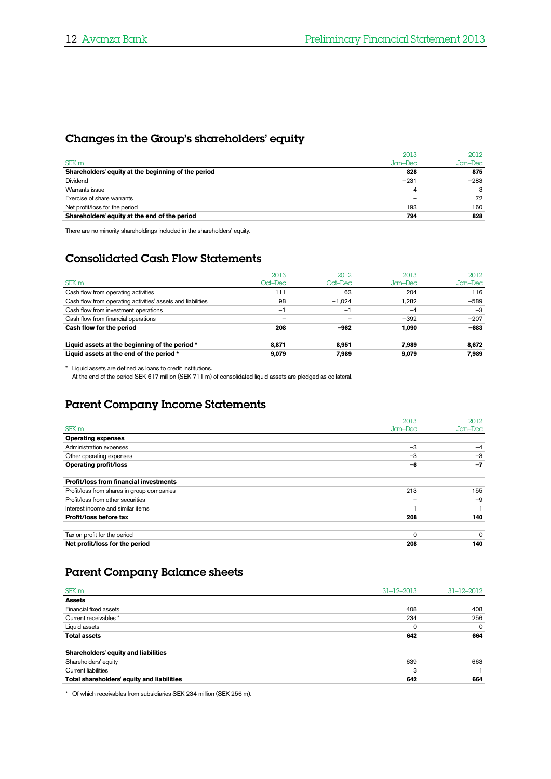# Changes in the Group's shareholders' equity

|                                                     | 2013    | 2012    |
|-----------------------------------------------------|---------|---------|
| SEK <sub>m</sub>                                    | Jan-Dec | Jan-Dec |
| Shareholders' equity at the beginning of the period | 828     | 875     |
| Dividend                                            | $-231$  | $-283$  |
| Warrants issue                                      | 4       |         |
| Exercise of share warrants                          |         | 72      |
| Net profit/loss for the period                      | 193     | 160     |
| Shareholders' equity at the end of the period       | 794     | 828     |

There are no minority shareholdings included in the shareholders' equity.

# Consolidated Cash Flow Statements

|                                                             | 2013    | 2012     | 2013    | 2012    |
|-------------------------------------------------------------|---------|----------|---------|---------|
| SEK m                                                       | Oct–Dec | Oct–Dec  | Jan–Dec | Jan-Dec |
| Cash flow from operating activities                         | 111     | 63       | 204     | 116     |
| Cash flow from operating activities' assets and liabilities | 98      | $-1,024$ | 1.282   | $-589$  |
| Cash flow from investment operations                        | Ξ,      | -1       | $-4$    | $-3$    |
| Cash flow from financial operations                         |         |          | $-392$  | $-207$  |
| Cash flow for the period                                    | 208     | $-962$   | 1.090   | $-683$  |
| Liquid assets at the beginning of the period *              | 8.871   | 8.951    | 7.989   | 8,672   |
| Liquid assets at the end of the period *                    | 9.079   | 7.989    | 9.079   | 7,989   |

\* Liquid assets are defined as loans to credit institutions.

At the end of the period SEK 617 million (SEK 711 m) of consolidated liquid assets are pledged as collateral.

# Parent Company Income Statements

|                                               | 2013     | 2012     |
|-----------------------------------------------|----------|----------|
| SEK <sub>m</sub>                              | Jan-Dec  | Jan-Dec  |
| <b>Operating expenses</b>                     |          |          |
| Administration expenses                       | $-3$     | $-4$     |
| Other operating expenses                      | $-3$     | $-3$     |
| <b>Operating profit/loss</b>                  | -6       | $-7$     |
| <b>Profit/loss from financial investments</b> |          |          |
| Profit/loss from shares in group companies    | 213      | 155      |
| Profit/loss from other securities             |          | $-9$     |
| Interest income and similar items             |          |          |
| Profit/loss before tax                        | 208      | 140      |
|                                               |          |          |
| Tax on profit for the period                  | $\Omega$ | $\Omega$ |
| Net profit/loss for the period                | 208      | 140      |

# Parent Company Balance sheets

| SEK <sub>m</sub>                           | $31 - 12 - 2013$ | $31 - 12 - 2012$ |
|--------------------------------------------|------------------|------------------|
| <b>Assets</b>                              |                  |                  |
| Financial fixed assets                     | 408              | 408              |
| Current receivables *                      | 234              | 256              |
| Liquid assets                              | $\mathbf 0$      | $\Omega$         |
| <b>Total assets</b>                        | 642              | 664              |
| Shareholders' equity and liabilities       |                  |                  |
| Shareholders' equity                       | 639              | 663              |
| <b>Current liabilities</b>                 | 3                |                  |
| Total shareholders' equity and liabilities | 642              | 664              |

\* Of which receivables from subsidiaries SEK 234 million (SEK 256 m).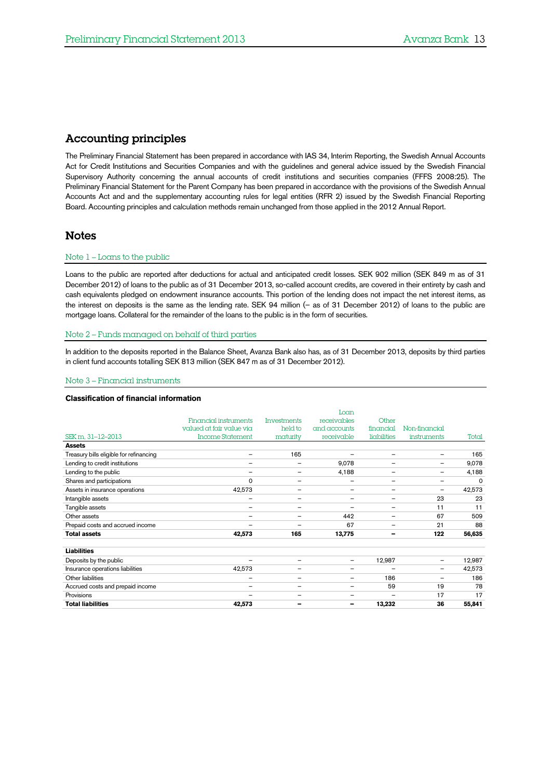## Accounting principles

The Preliminary Financial Statement has been prepared in accordance with IAS 34, Interim Reporting, the Swedish Annual Accounts Act for Credit Institutions and Securities Companies and with the guidelines and general advice issued by the Swedish Financial Supervisory Authority concerning the annual accounts of credit institutions and securities companies (FFFS 2008:25). The Preliminary Financial Statement for the Parent Company has been prepared in accordance with the provisions of the Swedish Annual Accounts Act and and the supplementary accounting rules for legal entities (RFR 2) issued by the Swedish Financial Reporting Board. Accounting principles and calculation methods remain unchanged from those applied in the 2012 Annual Report.

### Notes

#### Note 1 – Loans to the public

Loans to the public are reported after deductions for actual and anticipated credit losses. SEK 902 million (SEK 849 m as of 31 December 2012) of loans to the public as of 31 December 2013, so-called account credits, are covered in their entirety by cash and cash equivalents pledged on endowment insurance accounts. This portion of the lending does not impact the net interest items, as the interest on deposits is the same as the lending rate. SEK 94 million (– as of 31 December 2012) of loans to the public are mortgage loans. Collateral for the remainder of the loans to the public is in the form of securities.

#### Note 2 – Funds managed on behalf of third parties

In addition to the deposits reported in the Balance Sheet, Avanza Bank also has, as of 31 December 2013, deposits by third parties in client fund accounts totalling SEK 813 million (SEK 847 m as of 31 December 2012).

#### Note 3 – Financial instruments

#### **Classification of financial information**

|                                         |                          |                          | Loan                     |                          |                    |          |
|-----------------------------------------|--------------------------|--------------------------|--------------------------|--------------------------|--------------------|----------|
|                                         | Financial instruments    | <b>Investments</b>       | receivables              | Other                    |                    |          |
|                                         | valued at fair value via | held to                  | and accounts             | financial                | Non-financial      |          |
| SEK m, 31-12-2013                       | <b>Income Statement</b>  | maturity                 | receivable               | liabilities              | <i>instruments</i> | Total    |
| <b>Assets</b>                           |                          |                          |                          |                          |                    |          |
| Treasury bills eligible for refinancing | $\overline{\phantom{m}}$ | 165                      |                          | $\qquad \qquad -$        | —                  | 165      |
| Lending to credit institutions          | $\qquad \qquad -$        | $\overline{\phantom{a}}$ | 9,078                    | -                        | $\qquad \qquad -$  | 9,078    |
| Lending to the public                   | $\overline{\phantom{0}}$ |                          | 4,188                    | $\overline{\phantom{0}}$ | —                  | 4,188    |
| Shares and participations               | 0                        |                          | -                        | $\overline{\phantom{0}}$ | —                  | $\Omega$ |
| Assets in insurance operations          | 42,573                   | $\overline{\phantom{m}}$ | $\qquad \qquad -$        | -                        | -                  | 42,573   |
| Intangible assets                       | $\overline{\phantom{m}}$ | $\overline{\phantom{a}}$ |                          |                          | 23                 | 23       |
| Tangible assets                         | -                        | $\overline{\phantom{m}}$ | $\overline{\phantom{0}}$ | $\qquad \qquad -$        | 11                 | 11       |
| Other assets                            | $\qquad \qquad$          |                          | 442                      | -                        | 67                 | 509      |
| Prepaid costs and accrued income        | $\overline{\phantom{0}}$ |                          | 67                       | $\overline{\phantom{0}}$ | 21                 | 88       |
| <b>Total assets</b>                     | 42,573                   | 165                      | 13,775                   | $\overline{\phantom{0}}$ | 122                | 56,635   |
| <b>Liabilities</b>                      |                          |                          |                          |                          |                    |          |
| Deposits by the public                  | -                        | $\overline{\phantom{a}}$ | $\qquad \qquad -$        | 12,987                   | $\qquad \qquad -$  | 12,987   |
| Insurance operations liabilities        | 42,573                   | $\overline{\phantom{m}}$ | $\qquad \qquad -$        |                          | -                  | 42,573   |
| Other liabilities                       | $\overline{\phantom{0}}$ |                          | $\overline{\phantom{0}}$ | 186                      |                    | 186      |
| Accrued costs and prepaid income        | -                        | $\overline{\phantom{m}}$ | -                        | 59                       | 19                 | 78       |
| Provisions                              | $\overline{\phantom{0}}$ |                          | $\overline{\phantom{0}}$ | $\overline{\phantom{0}}$ | 17                 | 17       |
| <b>Total liabilities</b>                | 42,573                   |                          | -                        | 13,232                   | 36                 | 55,841   |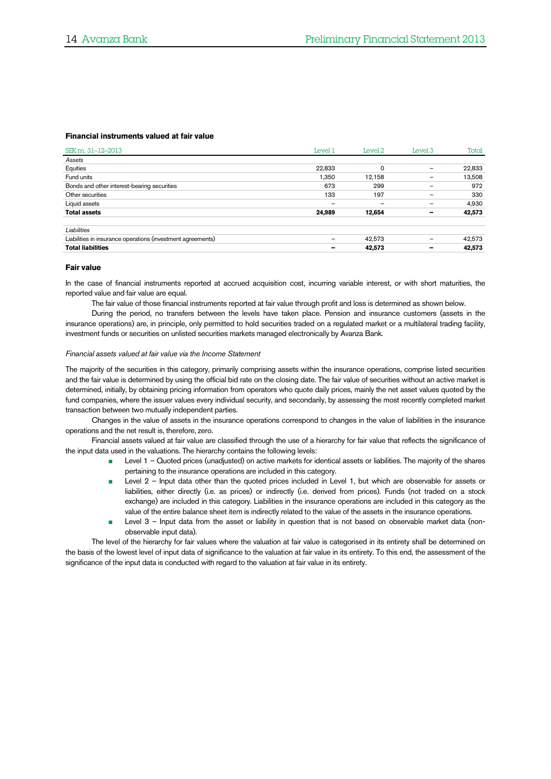#### **Financial instruments valued at fair value**

| SEK m, 31-12-2013                                           | Level 1                  | Level 2         | Level <sub>3</sub> | Total  |
|-------------------------------------------------------------|--------------------------|-----------------|--------------------|--------|
| Assets                                                      |                          |                 |                    |        |
| Equities                                                    | 22,833                   | $\Omega$        |                    | 22,833 |
| Fund units                                                  | 1,350                    | 12,158          |                    | 13,508 |
| Bonds and other interest-bearing securities                 | 673                      | 299             |                    | 972    |
| Other securities                                            | 133                      | 197             |                    | 330    |
| Liquid assets                                               | $\overline{\phantom{0}}$ | $\qquad \qquad$ |                    | 4,930  |
| <b>Total assets</b>                                         | 24,989                   | 12,654          | -                  | 42,573 |
| Liabilities                                                 |                          |                 |                    |        |
| Liabilities in insurance operations (investment agreements) |                          | 42,573          |                    | 42,573 |
| <b>Total liabilities</b>                                    |                          | 42,573          | -                  | 42,573 |

#### **Fair value**

In the case of financial instruments reported at accrued acquisition cost, incurring variable interest, or with short maturities, the reported value and fair value are equal.

The fair value of those financial instruments reported at fair value through profit and loss is determined as shown below.

During the period, no transfers between the levels have taken place. Pension and insurance customers (assets in the insurance operations) are, in principle, only permitted to hold securities traded on a regulated market or a multilateral trading facility, investment funds or securities on unlisted securities markets managed electronically by Avanza Bank.

#### *Financial assets valued at fair value via the Income Statement*

The majority of the securities in this category, primarily comprising assets within the insurance operations, comprise listed securities and the fair value is determined by using the official bid rate on the closing date. The fair value of securities without an active market is determined, initially, by obtaining pricing information from operators who quote daily prices, mainly the net asset values quoted by the fund companies, where the issuer values every individual security, and secondarily, by assessing the most recently completed market transaction between two mutually independent parties.

Changes in the value of assets in the insurance operations correspond to changes in the value of liabilities in the insurance operations and the net result is, therefore, zero.

Financial assets valued at fair value are classified through the use of a hierarchy for fair value that reflects the significance of the input data used in the valuations. The hierarchy contains the following levels:

- Level 1 Quoted prices (unadjusted) on active markets for identical assets or liabilities. The majority of the shares pertaining to the insurance operations are included in this category.
- Level 2 Input data other than the quoted prices included in Level 1, but which are observable for assets or liabilities, either directly (i.e. as prices) or indirectly (i.e. derived from prices). Funds (not traded on a stock exchange) are included in this category. Liabilities in the insurance operations are included in this category as the value of the entire balance sheet item is indirectly related to the value of the assets in the insurance operations.
- Level 3 Input data from the asset or liability in question that is not based on observable market data (nonobservable input data).

The level of the hierarchy for fair values where the valuation at fair value is categorised in its entirety shall be determined on the basis of the lowest level of input data of significance to the valuation at fair value in its entirety. To this end, the assessment of the significance of the input data is conducted with regard to the valuation at fair value in its entirety.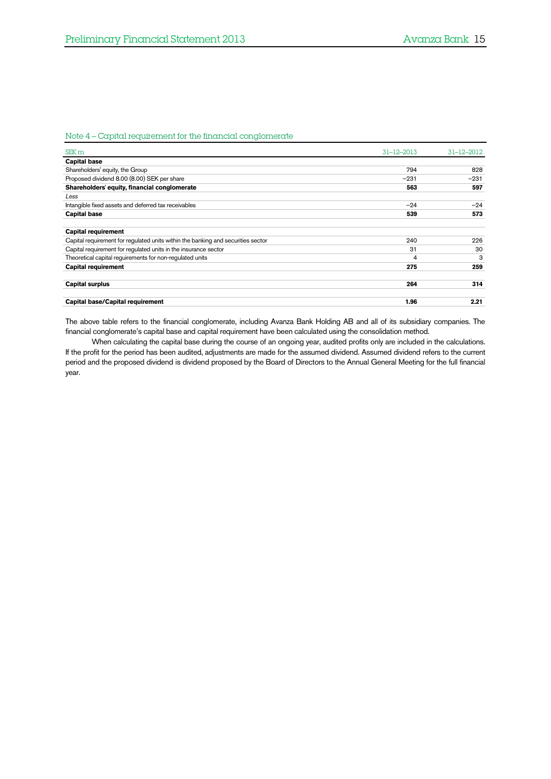### <span id="page-14-0"></span>Note 4 – Capital requirement for the financial conglomerate

| SEK <sub>m</sub>                                                                 | $31 - 12 - 2013$ | $31 - 12 - 2012$ |
|----------------------------------------------------------------------------------|------------------|------------------|
| <b>Capital base</b>                                                              |                  |                  |
| Shareholders' equity, the Group                                                  | 794              | 828              |
| Proposed dividend 8.00 (8.00) SEK per share                                      | $-231$           | $-231$           |
| Shareholders' equity, financial conglomerate                                     | 563              | 597              |
| Less                                                                             |                  |                  |
| Intangible fixed assets and deferred tax receivables                             | $-24$            | $-24$            |
| <b>Capital base</b>                                                              | 539              | 573              |
|                                                                                  |                  |                  |
| <b>Capital requirement</b>                                                       |                  |                  |
| Capital requirement for regulated units within the banking and securities sector | 240              | 226              |
| Capital requirement for regulated units in the insurance sector                  | 31               | 30               |
| Theoretical capital requirements for non-requlated units                         | 4                | 3                |
| <b>Capital requirement</b>                                                       | 275              | 259              |
| <b>Capital surplus</b>                                                           | 264              | 314              |
| Capital base/Capital requirement                                                 | 1.96             | 2.21             |

The above table refers to the financial conglomerate, including Avanza Bank Holding AB and all of its subsidiary companies. The financial conglomerate's capital base and capital requirement have been calculated using the consolidation method.

When calculating the capital base during the course of an ongoing year, audited profits only are included in the calculations. If the profit for the period has been audited, adjustments are made for the assumed dividend. Assumed dividend refers to the current period and the proposed dividend is dividend proposed by the Board of Directors to the Annual General Meeting for the full financial year.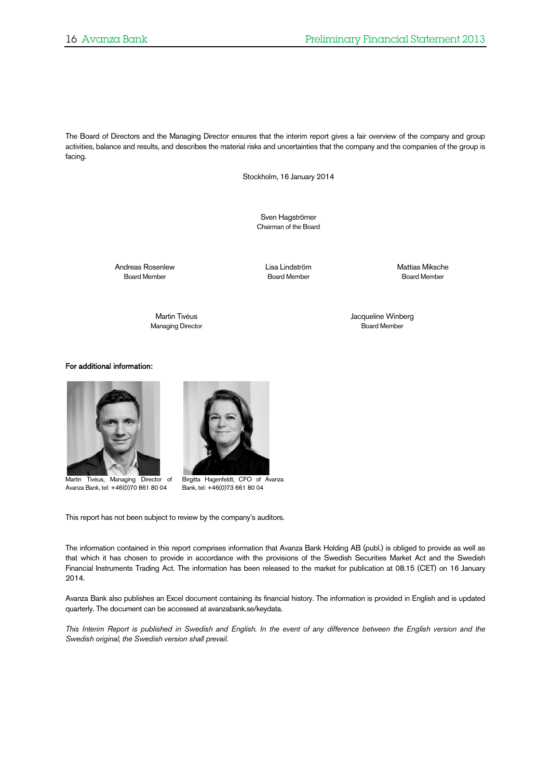The Board of Directors and the Managing Director ensures that the interim report gives a fair overview of the company and group activities, balance and results, and describes the material risks and uncertainties that the company and the companies of the group is facing.

Stockholm, 16 January 2014

Sven Hagströmer Chairman of the Board

Andreas Rosenlew Lisa Lindström (Eliza Lindström Mattias Miksche Mattias Miksche Mattias Miksche Board Member<br>Board Member (Board Member (Board Member (Board Member (Board Member (Board Member (Board Member (Board Member

**Board Member** 

Managing Director

Martin Tivéus<br>Managing Director (Games Control of the Second Member of the Second Member of the Second Member of the Second M<br>Second Member of the Second Member of the Second Member of the Second Member of the Second Membe

For additional information:



 Martin Tivéus, Managing Director of Avanza Bank, tel: +46(0)70 861 80 04



Birgitta Hagenfeldt, CFO of Avanza Bank, tel: +46(0)73 661 80 04

This report has not been subject to review by the company's auditors.

The information contained in this report comprises information that Avanza Bank Holding AB (publ.) is obliged to provide as well as that which it has chosen to provide in accordance with the provisions of the Swedish Securities Market Act and the Swedish Financial Instruments Trading Act. The information has been released to the market for publication at 08.15 (CET) on 16 January 2014.

Avanza Bank also publishes an Excel document containing its financial history. The information is provided in English and is updated quarterly. The document can be accessed at avanzabank.se/keydata.

*This Interim Report is published in Swedish and English. In the event of any difference between the English version and the Swedish original, the Swedish version shall prevail.*